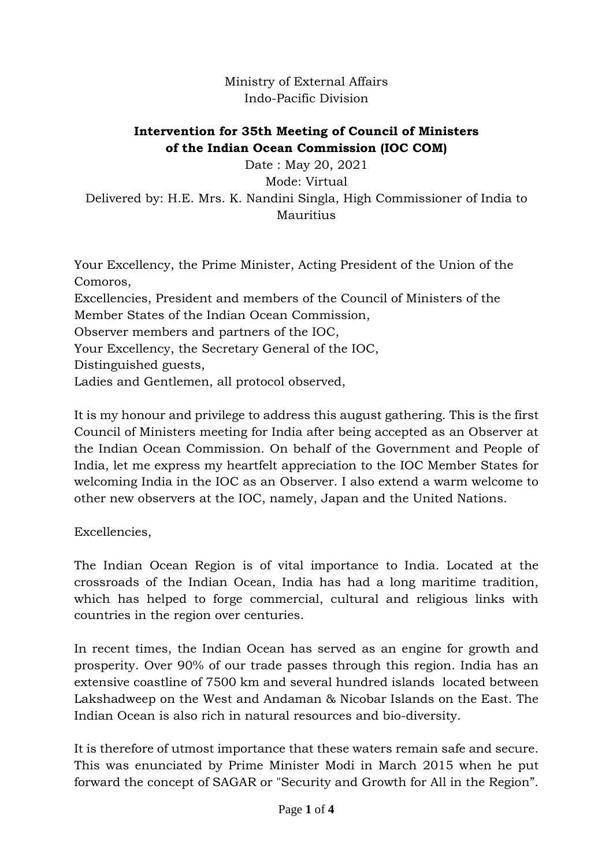Ministry of External Affairs Indo-Pacific Division

# **Intervention for 35th Meeting of Council of Ministers of the Indian Ocean Commission (IOC COM)**

Date : May 20, 2021 Mode: Virtual Delivered by: H.E. Mrs. K. Nandini Singla, High Commissioner of India to Mauritius

Your Excellency, the Prime Minister, Acting President of the Union of the Comoros, Excellencies, President and members of the Council of Ministers of the Member States of the Indian Ocean Commission, Observer members and partners of the IOC, Your Excellency, the Secretary General of the IOC, Distinguished guests, Ladies and Gentlemen, all protocol observed,

It is my honour and privilege to address this august gathering. This is the first Council of Ministers meeting for India after being accepted as an Observer at the Indian Ocean Commission. On behalf of the Government and People of India, let me express my heartfelt appreciation to the IOC Member States for welcoming India in the IOC as an Observer. I also extend a warm welcome to other new observers at the IOC, namely, Japan and the United Nations.

Excellencies,

The Indian Ocean Region is of vital importance to India. Located at the crossroads of the Indian Ocean, India has had a long maritime tradition, which has helped to forge commercial, cultural and religious links with countries in the region over centuries.

In recent times, the Indian Ocean has served as an engine for growth and prosperity. Over 90% of our trade passes through this region. India has an extensive coastline of 7500 km and several hundred islands located between Lakshadweep on the West and Andaman & Nicobar Islands on the East. The Indian Ocean is also rich in natural resources and bio-diversity.

It is therefore of utmost importance that these waters remain safe and secure. This was enunciated by Prime Minister Modi in March 2015 when he put forward the concept of SAGAR or "Security and Growth for All in the Region".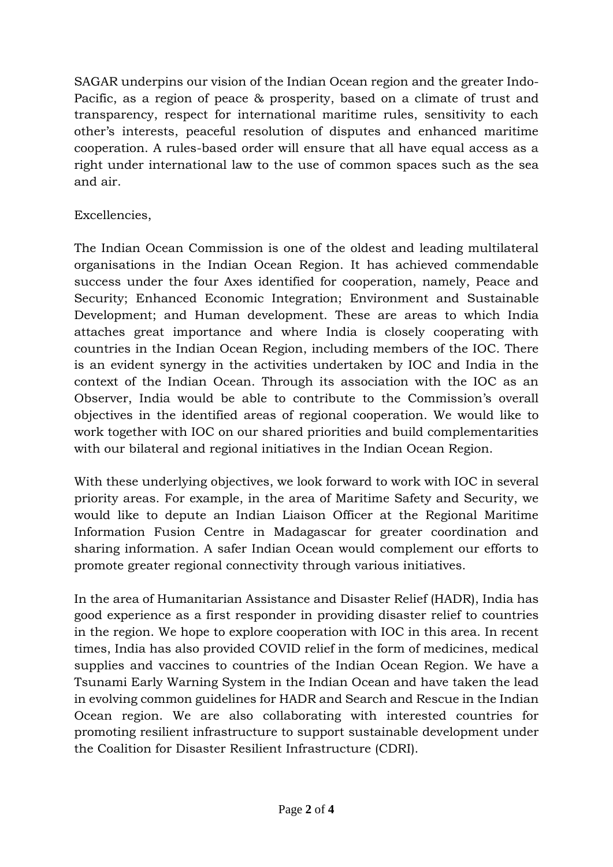SAGAR underpins our vision of the Indian Ocean region and the greater Indo-Pacific, as a region of peace & prosperity, based on a climate of trust and transparency, respect for international maritime rules, sensitivity to each other's interests, peaceful resolution of disputes and enhanced maritime cooperation. A rules-based order will ensure that all have equal access as a right under international law to the use of common spaces such as the sea and air.

## Excellencies,

The Indian Ocean Commission is one of the oldest and leading multilateral organisations in the Indian Ocean Region. It has achieved commendable success under the four Axes identified for cooperation, namely, Peace and Security; Enhanced Economic Integration; Environment and Sustainable Development; and Human development. These are areas to which India attaches great importance and where India is closely cooperating with countries in the Indian Ocean Region, including members of the IOC. There is an evident synergy in the activities undertaken by IOC and India in the context of the Indian Ocean. Through its association with the IOC as an Observer, India would be able to contribute to the Commission's overall objectives in the identified areas of regional cooperation. We would like to work together with IOC on our shared priorities and build complementarities with our bilateral and regional initiatives in the Indian Ocean Region.

With these underlying objectives, we look forward to work with IOC in several priority areas. For example, in the area of Maritime Safety and Security, we would like to depute an Indian Liaison Officer at the Regional Maritime Information Fusion Centre in Madagascar for greater coordination and sharing information. A safer Indian Ocean would complement our efforts to promote greater regional connectivity through various initiatives.

In the area of Humanitarian Assistance and Disaster Relief (HADR), India has good experience as a first responder in providing disaster relief to countries in the region. We hope to explore cooperation with IOC in this area. In recent times, India has also provided COVID relief in the form of medicines, medical supplies and vaccines to countries of the Indian Ocean Region. We have a Tsunami Early Warning System in the Indian Ocean and have taken the lead in evolving common guidelines for HADR and Search and Rescue in the Indian Ocean region. We are also collaborating with interested countries for promoting resilient infrastructure to support sustainable development under the Coalition for Disaster Resilient Infrastructure (CDRI).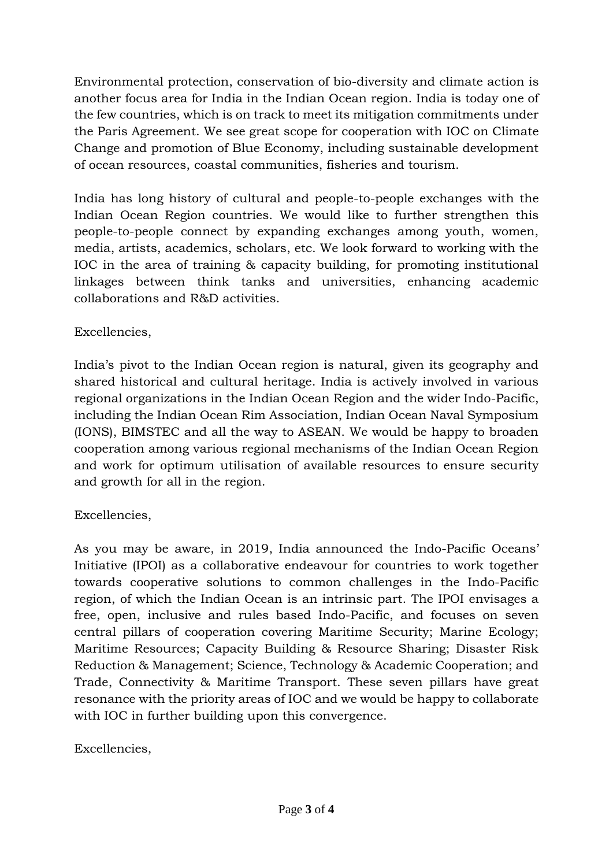Environmental protection, conservation of bio-diversity and climate action is another focus area for India in the Indian Ocean region. India is today one of the few countries, which is on track to meet its mitigation commitments under the Paris Agreement. We see great scope for cooperation with IOC on Climate Change and promotion of Blue Economy, including sustainable development of ocean resources, coastal communities, fisheries and tourism.

India has long history of cultural and people-to-people exchanges with the Indian Ocean Region countries. We would like to further strengthen this people-to-people connect by expanding exchanges among youth, women, media, artists, academics, scholars, etc. We look forward to working with the IOC in the area of training & capacity building, for promoting institutional linkages between think tanks and universities, enhancing academic collaborations and R&D activities.

## Excellencies,

India's pivot to the Indian Ocean region is natural, given its geography and shared historical and cultural heritage. India is actively involved in various regional organizations in the Indian Ocean Region and the wider Indo-Pacific, including the Indian Ocean Rim Association, Indian Ocean Naval Symposium (IONS), BIMSTEC and all the way to ASEAN. We would be happy to broaden cooperation among various regional mechanisms of the Indian Ocean Region and work for optimum utilisation of available resources to ensure security and growth for all in the region.

## Excellencies,

As you may be aware, in 2019, India announced the Indo-Pacific Oceans' Initiative (IPOI) as a collaborative endeavour for countries to work together towards cooperative solutions to common challenges in the Indo-Pacific region, of which the Indian Ocean is an intrinsic part. The IPOI envisages a free, open, inclusive and rules based Indo-Pacific, and focuses on seven central pillars of cooperation covering Maritime Security; Marine Ecology; Maritime Resources; Capacity Building & Resource Sharing; Disaster Risk Reduction & Management; Science, Technology & Academic Cooperation; and Trade, Connectivity & Maritime Transport. These seven pillars have great resonance with the priority areas of IOC and we would be happy to collaborate with IOC in further building upon this convergence.

## Excellencies,